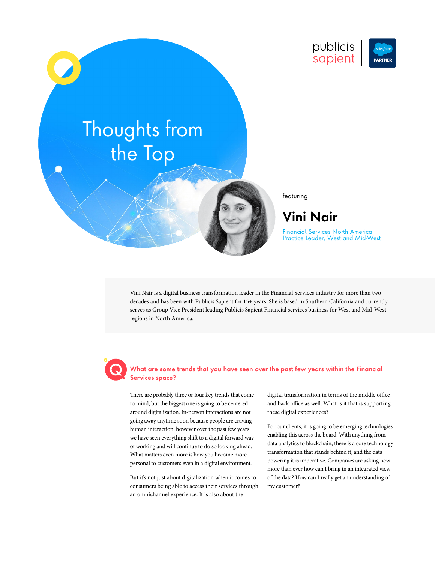

# Thoughts from the Top

featuring

## **Vini Nair**

Financial Services North America Practice Leader, West and Mid-West

Vini Nair is a digital business transformation leader in the Financial Services industry for more than two decades and has been with Publicis Sapient for 15+ years. She is based in Southern California and currently serves as Group Vice President leading Publicis Sapient Financial services business for West and Mid-West regions in North America.

## **What are some trends that you have seen over the past few years within the Financial Services space?**

There are probably three or four key trends that come to mind, but the biggest one is going to be centered around digitalization. In-person interactions are not going away anytime soon because people are craving human interaction, however over the past few years we have seen everything shift to a digital forward way of working and will continue to do so looking ahead. What matters even more is how you become more personal to customers even in a digital environment.

But it's not just about digitalization when it comes to consumers being able to access their services through an omnichannel experience. It is also about the

digital transformation in terms of the middle office and back office as well. What is it that is supporting these digital experiences?

For our clients, it is going to be emerging technologies enabling this across the board. With anything from data analytics to blockchain, there is a core technology transformation that stands behind it, and the data powering it is imperative. Companies are asking now more than ever how can I bring in an integrated view of the data? How can I really get an understanding of my customer?